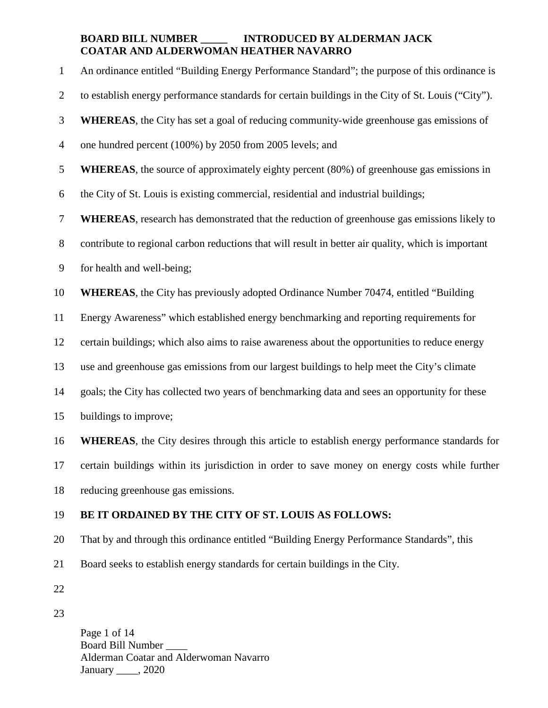1 An ordinance entitled "Building Energy Performance Standard"; the purpose of this ordinance is 2 to establish energy performance standards for certain buildings in the City of St. Louis ("City"). 3 **WHEREAS**, the City has set a goal of reducing community-wide greenhouse gas emissions of 4 one hundred percent (100%) by 2050 from 2005 levels; and 5 **WHEREAS**, the source of approximately eighty percent (80%) of greenhouse gas emissions in 6 the City of St. Louis is existing commercial, residential and industrial buildings; 7 **WHEREAS**, research has demonstrated that the reduction of greenhouse gas emissions likely to 8 contribute to regional carbon reductions that will result in better air quality, which is important 9 for health and well-being; 10 **WHEREAS**, the City has previously adopted Ordinance Number 70474, entitled "Building 11 Energy Awareness" which established energy benchmarking and reporting requirements for 12 certain buildings; which also aims to raise awareness about the opportunities to reduce energy 13 use and greenhouse gas emissions from our largest buildings to help meet the City's climate 14 goals; the City has collected two years of benchmarking data and sees an opportunity for these 15 buildings to improve; 16 **WHEREAS**, the City desires through this article to establish energy performance standards for 17 certain buildings within its jurisdiction in order to save money on energy costs while further 18 reducing greenhouse gas emissions. 19 **BE IT ORDAINED BY THE CITY OF ST. LOUIS AS FOLLOWS:** 20 That by and through this ordinance entitled "Building Energy Performance Standards", this 21 Board seeks to establish energy standards for certain buildings in the City. 22

23

Page 1 of 14 Board Bill Number \_\_\_\_ Alderman Coatar and Alderwoman Navarro January 2020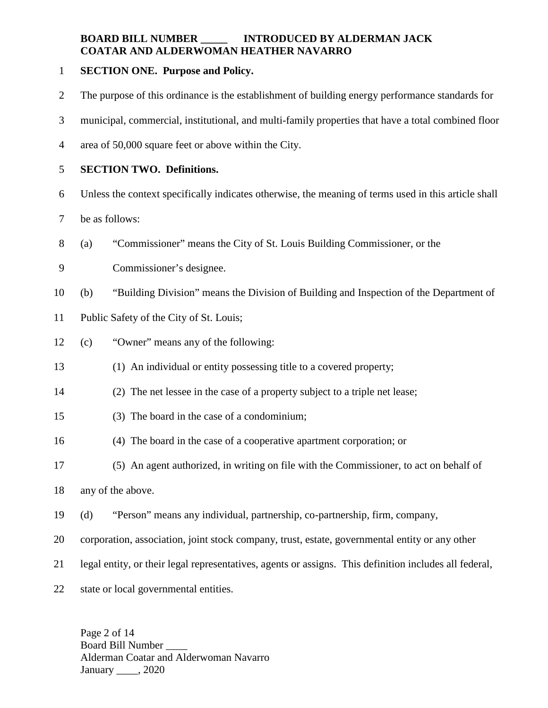### 1 **SECTION ONE. Purpose and Policy.**

- 2 The purpose of this ordinance is the establishment of building energy performance standards for
- 3 municipal, commercial, institutional, and multi-family properties that have a total combined floor
- 4 area of 50,000 square feet or above within the City.

## 5 **SECTION TWO. Definitions.**

- 6 Unless the context specifically indicates otherwise, the meaning of terms used in this article shall
- 7 be as follows:
- 8 (a) "Commissioner" means the City of St. Louis Building Commissioner, or the
- 9 Commissioner's designee.
- 10 (b) "Building Division" means the Division of Building and Inspection of the Department of
- 11 Public Safety of the City of St. Louis;
- 12 (c) "Owner" means any of the following:
- 13 (1) An individual or entity possessing title to a covered property;
- 14 (2) The net lessee in the case of a property subject to a triple net lease;
- 15 (3) The board in the case of a condominium;
- 16 (4) The board in the case of a cooperative apartment corporation; or
- 17 (5) An agent authorized, in writing on file with the Commissioner, to act on behalf of
- 18 any of the above.
- 19 (d) "Person" means any individual, partnership, co-partnership, firm, company,
- 20 corporation, association, joint stock company, trust, estate, governmental entity or any other
- 21 legal entity, or their legal representatives, agents or assigns. This definition includes all federal,
- 22 state or local governmental entities.

Page 2 of 14 Board Bill Number \_\_\_\_ Alderman Coatar and Alderwoman Navarro January 2020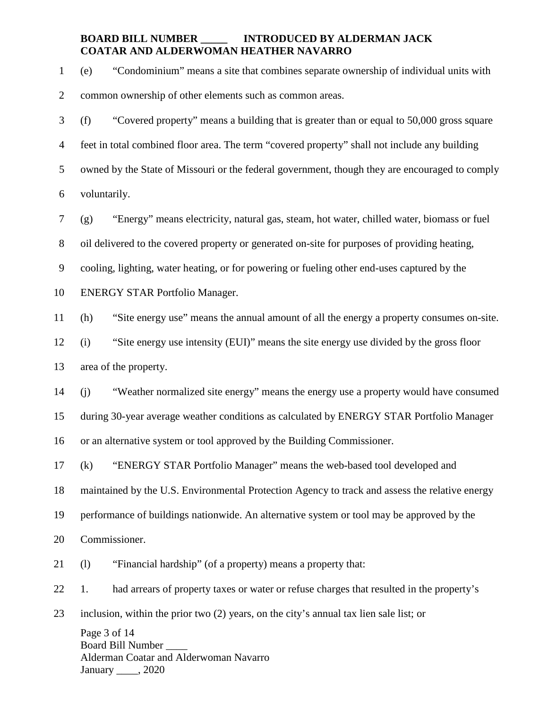1 (e) "Condominium" means a site that combines separate ownership of individual units with

2 common ownership of other elements such as common areas.

3 (f) "Covered property" means a building that is greater than or equal to 50,000 gross square 4 feet in total combined floor area. The term "covered property" shall not include any building 5 owned by the State of Missouri or the federal government, though they are encouraged to comply 6 voluntarily.

7 (g) "Energy" means electricity, natural gas, steam, hot water, chilled water, biomass or fuel

8 oil delivered to the covered property or generated on-site for purposes of providing heating,

9 cooling, lighting, water heating, or for powering or fueling other end-uses captured by the

10 ENERGY STAR Portfolio Manager.

11 (h) "Site energy use" means the annual amount of all the energy a property consumes on-site.

12 (i) "Site energy use intensity (EUI)" means the site energy use divided by the gross floor

13 area of the property.

14 (j) "Weather normalized site energy" means the energy use a property would have consumed

15 during 30-year average weather conditions as calculated by ENERGY STAR Portfolio Manager

16 or an alternative system or tool approved by the Building Commissioner.

17 (k) "ENERGY STAR Portfolio Manager" means the web-based tool developed and

18 maintained by the U.S. Environmental Protection Agency to track and assess the relative energy

19 performance of buildings nationwide. An alternative system or tool may be approved by the

20 Commissioner.

21 (l) "Financial hardship" (of a property) means a property that:

22 1. had arrears of property taxes or water or refuse charges that resulted in the property's

23 inclusion, within the prior two (2) years, on the city's annual tax lien sale list; or

Page 3 of 14 Board Bill Number \_\_\_\_ Alderman Coatar and Alderwoman Navarro January 2020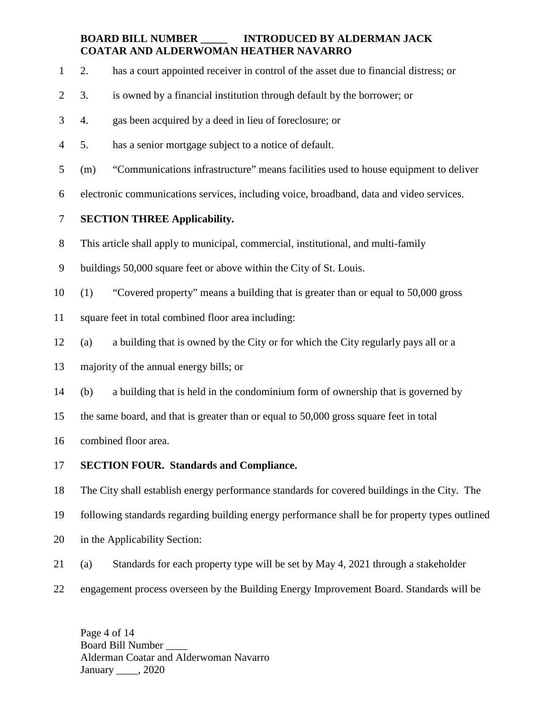- 1 2. has a court appointed receiver in control of the asset due to financial distress; or
- 2 3. is owned by a financial institution through default by the borrower; or
- 3 4. gas been acquired by a deed in lieu of foreclosure; or
- 4 5. has a senior mortgage subject to a notice of default.
- 5 (m) "Communications infrastructure" means facilities used to house equipment to deliver
- 6 electronic communications services, including voice, broadband, data and video services.

# 7 **SECTION THREE Applicability.**

8 This article shall apply to municipal, commercial, institutional, and multi-family

- 9 buildings 50,000 square feet or above within the City of St. Louis.
- 10 (1) "Covered property" means a building that is greater than or equal to 50,000 gross
- 11 square feet in total combined floor area including:
- 12 (a) a building that is owned by the City or for which the City regularly pays all or a
- 13 majority of the annual energy bills; or
- 14 (b) a building that is held in the condominium form of ownership that is governed by
- 15 the same board, and that is greater than or equal to 50,000 gross square feet in total
- 16 combined floor area.
- 17 **SECTION FOUR. Standards and Compliance.**

18 The City shall establish energy performance standards for covered buildings in the City. The

- 19 following standards regarding building energy performance shall be for property types outlined
- 20 in the Applicability Section:
- 21 (a) Standards for each property type will be set by May 4, 2021 through a stakeholder
- 22 engagement process overseen by the Building Energy Improvement Board. Standards will be

Page 4 of 14 Board Bill Number \_\_\_\_ Alderman Coatar and Alderwoman Navarro January 2020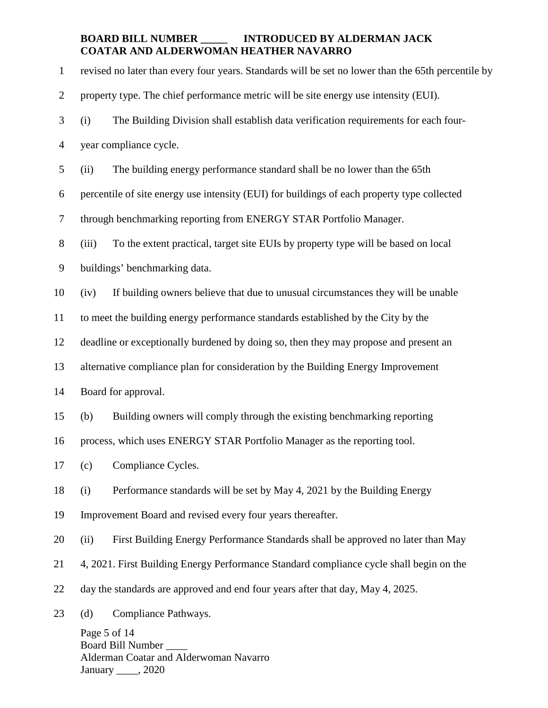Page 5 of 14 Board Bill Number \_\_\_\_ 1 revised no later than every four years. Standards will be set no lower than the 65th percentile by 2 property type. The chief performance metric will be site energy use intensity (EUI). 3 (i) The Building Division shall establish data verification requirements for each four-4 year compliance cycle. 5 (ii) The building energy performance standard shall be no lower than the 65th 6 percentile of site energy use intensity (EUI) for buildings of each property type collected 7 through benchmarking reporting from ENERGY STAR Portfolio Manager. 8 (iii) To the extent practical, target site EUIs by property type will be based on local 9 buildings' benchmarking data. 10 (iv) If building owners believe that due to unusual circumstances they will be unable 11 to meet the building energy performance standards established by the City by the 12 deadline or exceptionally burdened by doing so, then they may propose and present an 13 alternative compliance plan for consideration by the Building Energy Improvement 14 Board for approval. 15 (b) Building owners will comply through the existing benchmarking reporting 16 process, which uses ENERGY STAR Portfolio Manager as the reporting tool. 17 (c) Compliance Cycles. 18 (i) Performance standards will be set by May 4, 2021 by the Building Energy 19 Improvement Board and revised every four years thereafter. 20 (ii) First Building Energy Performance Standards shall be approved no later than May 21 4, 2021. First Building Energy Performance Standard compliance cycle shall begin on the 22 day the standards are approved and end four years after that day, May 4, 2025. 23 (d) Compliance Pathways.

Alderman Coatar and Alderwoman Navarro January 2020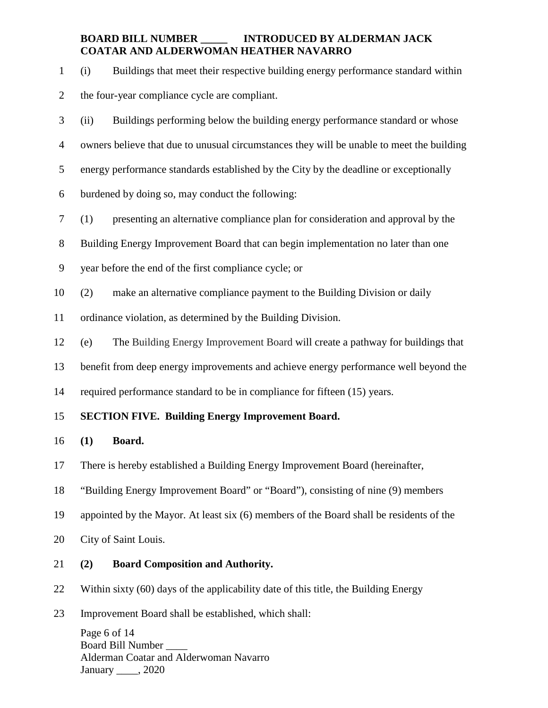1 (i) Buildings that meet their respective building energy performance standard within

- 2 the four-year compliance cycle are compliant.
- 3 (ii) Buildings performing below the building energy performance standard or whose
- 4 owners believe that due to unusual circumstances they will be unable to meet the building
- 5 energy performance standards established by the City by the deadline or exceptionally
- 6 burdened by doing so, may conduct the following:
- 7 (1) presenting an alternative compliance plan for consideration and approval by the
- 8 Building Energy Improvement Board that can begin implementation no later than one
- 9 year before the end of the first compliance cycle; or
- 10 (2) make an alternative compliance payment to the Building Division or daily
- 11 ordinance violation, as determined by the Building Division.
- 12 (e) The Building Energy Improvement Board will create a pathway for buildings that
- 13 benefit from deep energy improvements and achieve energy performance well beyond the
- 14 required performance standard to be in compliance for fifteen (15) years.

### 15 **SECTION FIVE. Building Energy Improvement Board.**

- 16 **(1) Board.**
- 17 There is hereby established a Building Energy Improvement Board (hereinafter,
- 18 "Building Energy Improvement Board" or "Board"), consisting of nine (9) members
- 19 appointed by the Mayor. At least six (6) members of the Board shall be residents of the
- 20 City of Saint Louis.
- 21 **(2) Board Composition and Authority.**
- 22 Within sixty (60) days of the applicability date of this title, the Building Energy
- 23 Improvement Board shall be established, which shall:

Page 6 of 14 Board Bill Number \_\_\_\_ Alderman Coatar and Alderwoman Navarro January 2020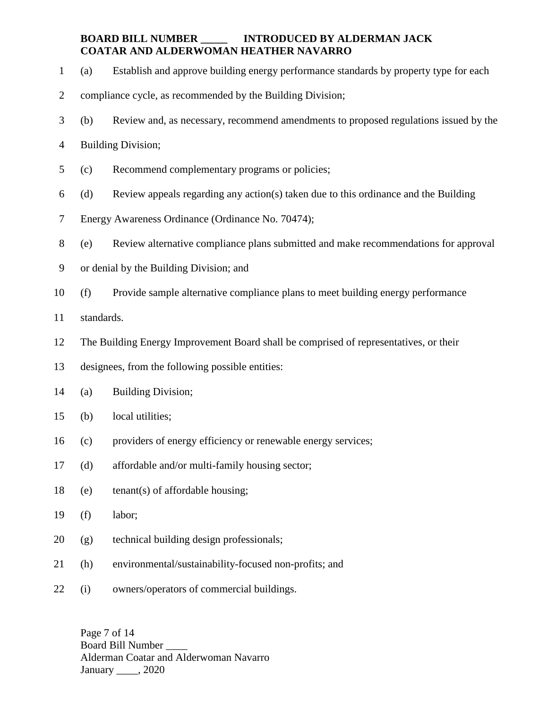- 1 (a) Establish and approve building energy performance standards by property type for each
- 2 compliance cycle, as recommended by the Building Division;
- 3 (b) Review and, as necessary, recommend amendments to proposed regulations issued by the
- 4 Building Division;
- 5 (c) Recommend complementary programs or policies;
- 6 (d) Review appeals regarding any action(s) taken due to this ordinance and the Building
- 7 Energy Awareness Ordinance (Ordinance No. 70474);
- 8 (e) Review alternative compliance plans submitted and make recommendations for approval
- 9 or denial by the Building Division; and
- 10 (f) Provide sample alternative compliance plans to meet building energy performance
- 11 standards.
- 12 The Building Energy Improvement Board shall be comprised of representatives, or their
- 13 designees, from the following possible entities:
- 14 (a) Building Division;
- 15 (b) local utilities;
- 16 (c) providers of energy efficiency or renewable energy services;
- 17 (d) affordable and/or multi-family housing sector;
- 18 (e) tenant(s) of affordable housing;
- 19 (f) labor;
- 20 (g) technical building design professionals;
- 21 (h) environmental/sustainability-focused non-profits; and
- 22 (i) owners/operators of commercial buildings.

Page 7 of 14 Board Bill Number \_\_\_\_ Alderman Coatar and Alderwoman Navarro January 2020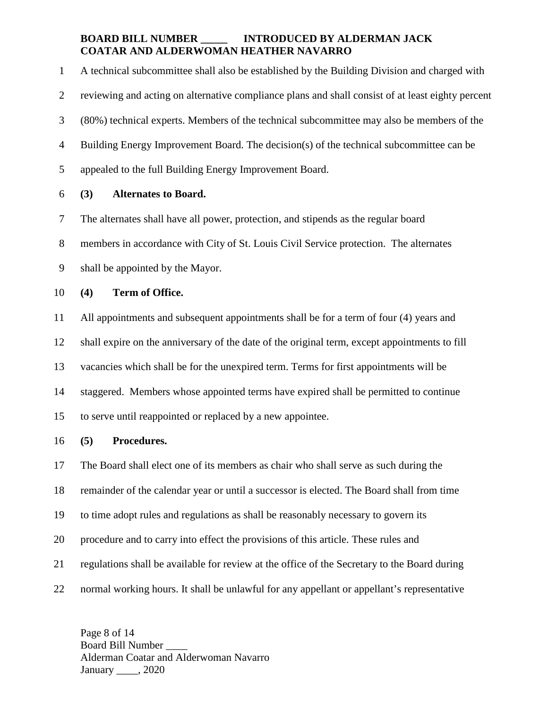1 A technical subcommittee shall also be established by the Building Division and charged with 2 reviewing and acting on alternative compliance plans and shall consist of at least eighty percent 3 (80%) technical experts. Members of the technical subcommittee may also be members of the 4 Building Energy Improvement Board. The decision(s) of the technical subcommittee can be 5 appealed to the full Building Energy Improvement Board. 6 **(3) Alternates to Board.**

7 The alternates shall have all power, protection, and stipends as the regular board

8 members in accordance with City of St. Louis Civil Service protection. The alternates

9 shall be appointed by the Mayor.

10 **(4) Term of Office.** 

11 All appointments and subsequent appointments shall be for a term of four (4) years and 12 shall expire on the anniversary of the date of the original term, except appointments to fill 13 vacancies which shall be for the unexpired term. Terms for first appointments will be 14 staggered. Members whose appointed terms have expired shall be permitted to continue 15 to serve until reappointed or replaced by a new appointee.

16 **(5) Procedures.**

17 The Board shall elect one of its members as chair who shall serve as such during the 18 remainder of the calendar year or until a successor is elected. The Board shall from time 19 to time adopt rules and regulations as shall be reasonably necessary to govern its 20 procedure and to carry into effect the provisions of this article. These rules and 21 regulations shall be available for review at the office of the Secretary to the Board during 22 normal working hours. It shall be unlawful for any appellant or appellant's representative

Page 8 of 14 Board Bill Number \_\_\_\_ Alderman Coatar and Alderwoman Navarro January 2020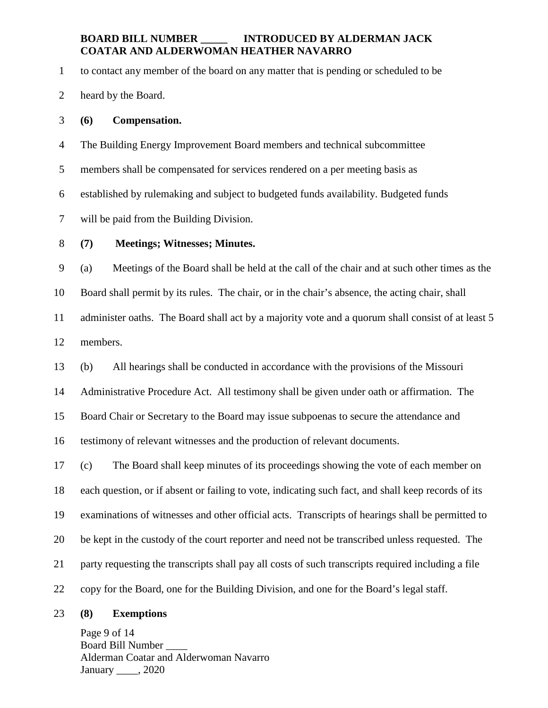1 to contact any member of the board on any matter that is pending or scheduled to be

2 heard by the Board.

#### 3 **(6) Compensation.**

4 The Building Energy Improvement Board members and technical subcommittee

5 members shall be compensated for services rendered on a per meeting basis as

6 established by rulemaking and subject to budgeted funds availability. Budgeted funds

7 will be paid from the Building Division.

#### 8 **(7) Meetings; Witnesses; Minutes.**

9 (a) Meetings of the Board shall be held at the call of the chair and at such other times as the 10 Board shall permit by its rules. The chair, or in the chair's absence, the acting chair, shall 11 administer oaths. The Board shall act by a majority vote and a quorum shall consist of at least 5 12 members.

13 (b) All hearings shall be conducted in accordance with the provisions of the Missouri

14 Administrative Procedure Act. All testimony shall be given under oath or affirmation. The

15 Board Chair or Secretary to the Board may issue subpoenas to secure the attendance and

16 testimony of relevant witnesses and the production of relevant documents.

17 (c) The Board shall keep minutes of its proceedings showing the vote of each member on 18 each question, or if absent or failing to vote, indicating such fact, and shall keep records of its 19 examinations of witnesses and other official acts. Transcripts of hearings shall be permitted to 20 be kept in the custody of the court reporter and need not be transcribed unless requested. The 21 party requesting the transcripts shall pay all costs of such transcripts required including a file 22 copy for the Board, one for the Building Division, and one for the Board's legal staff.

#### 23 **(8) Exemptions**

Page 9 of 14 Board Bill Number \_\_\_\_ Alderman Coatar and Alderwoman Navarro January 2020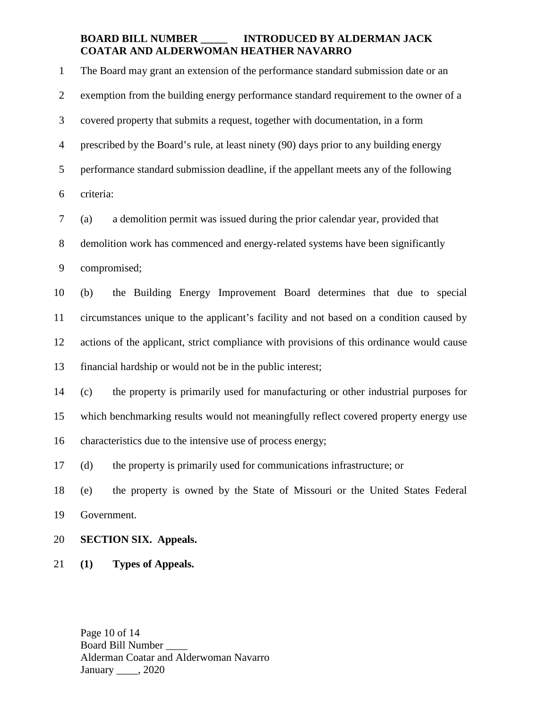1 The Board may grant an extension of the performance standard submission date or an 2 exemption from the building energy performance standard requirement to the owner of a 3 covered property that submits a request, together with documentation, in a form 4 prescribed by the Board's rule, at least ninety (90) days prior to any building energy 5 performance standard submission deadline, if the appellant meets any of the following 6 criteria: 7 (a) a demolition permit was issued during the prior calendar year, provided that 8 demolition work has commenced and energy-related systems have been significantly 9 compromised; 10 (b) the Building Energy Improvement Board determines that due to special 11 circumstances unique to the applicant's facility and not based on a condition caused by 12 actions of the applicant, strict compliance with provisions of this ordinance would cause 13 financial hardship or would not be in the public interest; 14 (c) the property is primarily used for manufacturing or other industrial purposes for 15 which benchmarking results would not meaningfully reflect covered property energy use 16 characteristics due to the intensive use of process energy; 17 (d) the property is primarily used for communications infrastructure; or 18 (e) the property is owned by the State of Missouri or the United States Federal 19 Government.

- 20 **SECTION SIX. Appeals.**
- 21 **(1) Types of Appeals.**

Page 10 of 14 Board Bill Number \_\_\_\_ Alderman Coatar and Alderwoman Navarro January 2020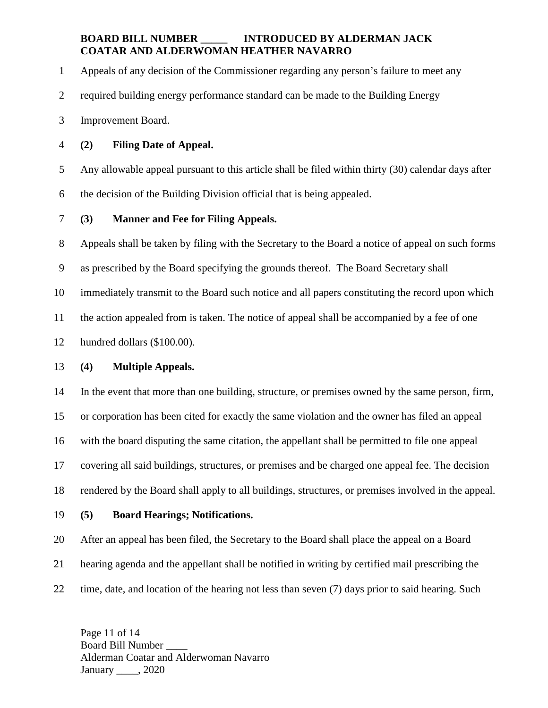1 Appeals of any decision of the Commissioner regarding any person's failure to meet any

2 required building energy performance standard can be made to the Building Energy

3 Improvement Board.

4 **(2) Filing Date of Appeal.** 

5 Any allowable appeal pursuant to this article shall be filed within thirty (30) calendar days after

6 the decision of the Building Division official that is being appealed.

## 7 **(3) Manner and Fee for Filing Appeals.**

8 Appeals shall be taken by filing with the Secretary to the Board a notice of appeal on such forms

9 as prescribed by the Board specifying the grounds thereof. The Board Secretary shall

10 immediately transmit to the Board such notice and all papers constituting the record upon which

11 the action appealed from is taken. The notice of appeal shall be accompanied by a fee of one

12 hundred dollars (\$100.00).

## 13 **(4) Multiple Appeals.**

14 In the event that more than one building, structure, or premises owned by the same person, firm,

15 or corporation has been cited for exactly the same violation and the owner has filed an appeal

16 with the board disputing the same citation, the appellant shall be permitted to file one appeal

17 covering all said buildings, structures, or premises and be charged one appeal fee. The decision

18 rendered by the Board shall apply to all buildings, structures, or premises involved in the appeal.

19 **(5) Board Hearings; Notifications.** 

20 After an appeal has been filed, the Secretary to the Board shall place the appeal on a Board

21 hearing agenda and the appellant shall be notified in writing by certified mail prescribing the

22 time, date, and location of the hearing not less than seven (7) days prior to said hearing. Such

Page 11 of 14 Board Bill Number \_\_\_\_ Alderman Coatar and Alderwoman Navarro January 2020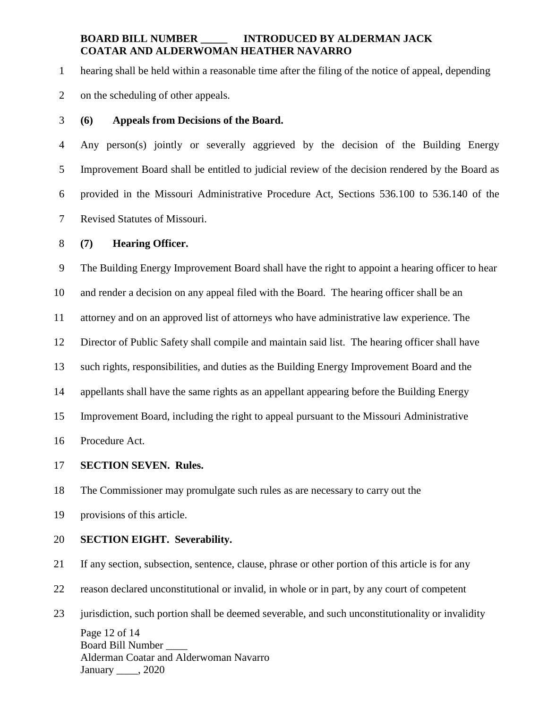1 hearing shall be held within a reasonable time after the filing of the notice of appeal, depending

2 on the scheduling of other appeals.

### 3 **(6) Appeals from Decisions of the Board.**

4 Any person(s) jointly or severally aggrieved by the decision of the Building Energy 5 Improvement Board shall be entitled to judicial review of the decision rendered by the Board as 6 provided in the Missouri Administrative Procedure Act, Sections 536.100 to 536.140 of the 7 Revised Statutes of Missouri.

#### 8 **(7) Hearing Officer.**

9 The Building Energy Improvement Board shall have the right to appoint a hearing officer to hear

10 and render a decision on any appeal filed with the Board. The hearing officer shall be an

11 attorney and on an approved list of attorneys who have administrative law experience. The

12 Director of Public Safety shall compile and maintain said list. The hearing officer shall have

13 such rights, responsibilities, and duties as the Building Energy Improvement Board and the

14 appellants shall have the same rights as an appellant appearing before the Building Energy

15 Improvement Board, including the right to appeal pursuant to the Missouri Administrative

16 Procedure Act.

#### 17 **SECTION SEVEN. Rules.**

18 The Commissioner may promulgate such rules as are necessary to carry out the

19 provisions of this article.

#### 20 **SECTION EIGHT. Severability.**

21 If any section, subsection, sentence, clause, phrase or other portion of this article is for any

22 reason declared unconstitutional or invalid, in whole or in part, by any court of competent

Page 12 of 14 Board Bill Number \_\_\_\_ Alderman Coatar and Alderwoman Navarro January 2020 23 jurisdiction, such portion shall be deemed severable, and such unconstitutionality or invalidity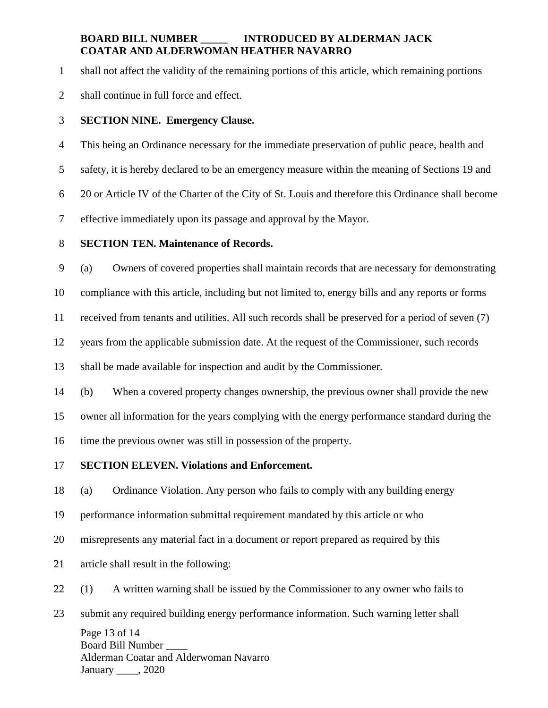1 shall not affect the validity of the remaining portions of this article, which remaining portions

2 shall continue in full force and effect.

### 3 **SECTION NINE. Emergency Clause.**

4 This being an Ordinance necessary for the immediate preservation of public peace, health and

5 safety, it is hereby declared to be an emergency measure within the meaning of Sections 19 and

6 20 or Article IV of the Charter of the City of St. Louis and therefore this Ordinance shall become

7 effective immediately upon its passage and approval by the Mayor.

### 8 **SECTION TEN. Maintenance of Records.**

9 (a) Owners of covered properties shall maintain records that are necessary for demonstrating

10 compliance with this article, including but not limited to, energy bills and any reports or forms

11 received from tenants and utilities. All such records shall be preserved for a period of seven (7)

12 years from the applicable submission date. At the request of the Commissioner, such records

13 shall be made available for inspection and audit by the Commissioner.

14 (b) When a covered property changes ownership, the previous owner shall provide the new

15 owner all information for the years complying with the energy performance standard during the

16 time the previous owner was still in possession of the property.

## 17 **SECTION ELEVEN. Violations and Enforcement.**

18 (a) Ordinance Violation. Any person who fails to comply with any building energy

19 performance information submittal requirement mandated by this article or who

20 misrepresents any material fact in a document or report prepared as required by this

21 article shall result in the following:

22 (1) A written warning shall be issued by the Commissioner to any owner who fails to

Page 13 of 14 Board Bill Number \_\_\_\_ Alderman Coatar and Alderwoman Navarro January 2020 23 submit any required building energy performance information. Such warning letter shall